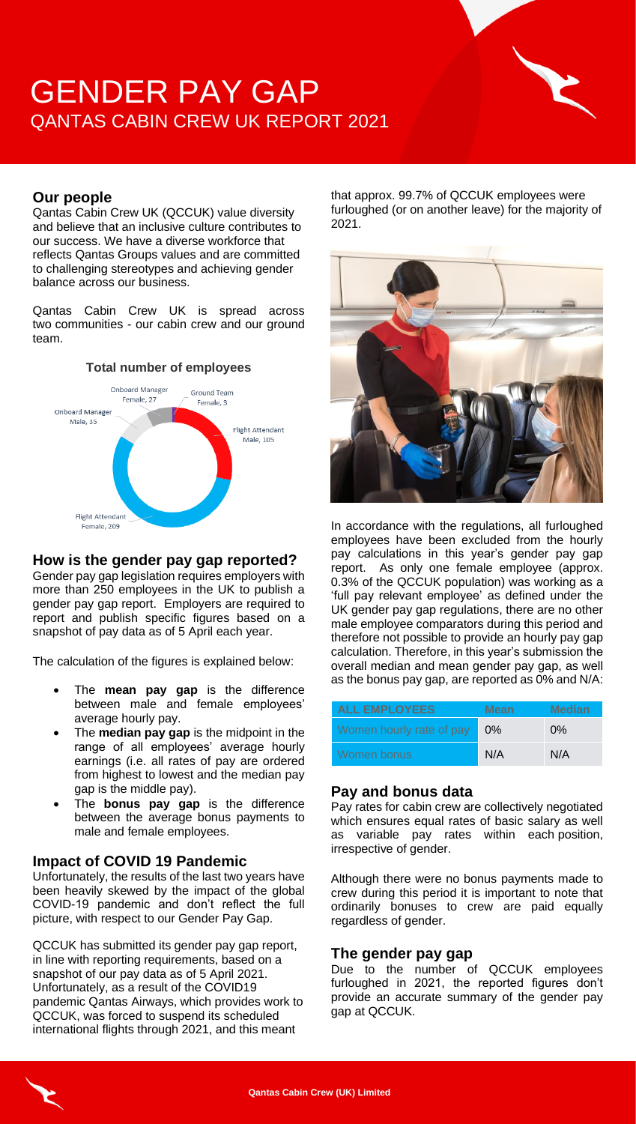# GENDER PAY GAP QANTAS CABIN CREW UK REPORT 2021



## **Our people**

Qantas Cabin Crew UK (QCCUK) value diversity and believe that an inclusive culture contributes to our success. We have a diverse workforce that reflects Qantas Groups values and are committed to challenging stereotypes and achieving gender balance across our business.

Qantas Cabin Crew UK is spread across two communities - our cabin crew and our ground team.

#### **Total number of employees** Onboard Manager Ground Team Female, 27 Female, 3 Onboard Manager Male, 35 Flight Attendant ,<br>Male, 105 **Flight Attendant** Female, 209

## **How is the gender pay gap reported?**

Gender pay gap legislation requires employers with more than 250 employees in the UK to publish a gender pay gap report. Employers are required to report and publish specific figures based on a snapshot of pay data as of 5 April each year.

The calculation of the figures is explained below:

- The **mean pay gap** is the difference between male and female employees' average hourly pay.
- The **median pay gap** is the midpoint in the range of all employees' average hourly earnings (i.e. all rates of pay are ordered from highest to lowest and the median pay gap is the middle pay).
- The **bonus pay gap** is the difference between the average bonus payments to male and female employees.

## **Impact of COVID 19 Pandemic**

Unfortunately, the results of the last two years have been heavily skewed by the impact of the global COVID-19 pandemic and don't reflect the full picture, with respect to our Gender Pay Gap.

QCCUK has submitted its gender pay gap report, in line with reporting requirements, based on a snapshot of our pay data as of 5 April 2021. Unfortunately, as a result of the COVID19 pandemic Qantas Airways, which provides work to QCCUK, was forced to suspend its scheduled international flights through 2021, and this meant

that approx. 99.7% of QCCUK employees were furloughed (or on another leave) for the majority of 2021.



In accordance with the regulations, all furloughed employees have been excluded from the hourly pay calculations in this year's gender pay gap report. As only one female employee (approx. 0.3% of the QCCUK population) was working as a 'full pay relevant employee' as defined under the UK gender pay gap regulations, there are no other male employee comparators during this period and therefore not possible to provide an hourly pay gap calculation. Therefore, in this year's submission the overall median and mean gender pay gap, as well as the bonus pay gap, are reported as 0% and N/A:

| <b>ALL EMPLOYEES</b>     | <b>Mean</b> | <b>Median</b> |
|--------------------------|-------------|---------------|
| Women hourly rate of pay | $0\%$       | $0\%$         |
| Women bonus              | N/A         | N/A           |

## **Pay and bonus data**

Pay rates for cabin crew are collectively negotiated which ensures equal rates of basic salary as well as variable pay rates within each position, irrespective of gender.

Although there were no bonus payments made to crew during this period it is important to note that ordinarily bonuses to crew are paid equally regardless of gender.

## **The gender pay gap**

Due to the number of QCCUK employees furloughed in 2021, the reported figures don't provide an accurate summary of the gender pay gap at QCCUK.